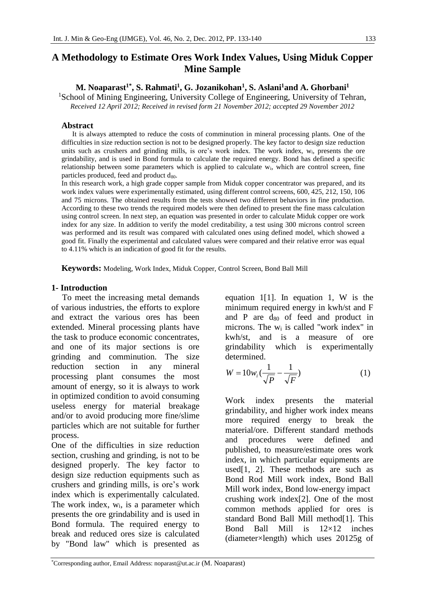# **A Methodology to Estimate Ores Work Index Values, Using Miduk Copper Mine Sample**

# M. Noaparast<sup>1\*</sup>, S. Rahmati<sup>1</sup>, G. Jozanikohan<sup>1</sup>, S. Aslani<sup>1</sup>and A. Ghorbani<sup>1</sup>

<sup>1</sup>School of Mining Engineering, University College of Engineering, University of Tehran, *Received 12 April 2012; Received in revised form 21 November 2012; accepted 29 November 2012*

## **Abstract**

 It is always attempted to reduce the costs of comminution in mineral processing plants. One of the difficulties in size reduction section is not to be designed properly. The key factor to design size reduction units such as crushers and grinding mills, is ore's work index. The work index, w<sub>i</sub>, presents the ore grindability, and is used in Bond formula to calculate the required energy. Bond has defined a specific relationship between some parameters which is applied to calculate wi, which are control screen, fine particles produced, feed and product  $d_{80}$ .

In this research work, a high grade copper sample from Miduk copper concentrator was prepared, and its work index values were experimentally estimated, using different control screens, 600, 425, 212, 150, 106 and 75 microns. The obtained results from the tests showed two different behaviors in fine production. According to these two trends the required models were then defined to present the fine mass calculation using control screen. In next step, an equation was presented in order to calculate Miduk copper ore work index for any size. In addition to verify the model creditability, a test using 300 microns control screen was performed and its result was compared with calculated ones using defined model, which showed a good fit. Finally the experimental and calculated values were compared and their relative error was equal to 4.11% which is an indication of good fit for the results.

**Keywords:** Modeling, Work Index, Miduk Copper, Control Screen, Bond Ball Mill

## **1- Introduction**

 To meet the increasing metal demands of various industries, the efforts to explore and extract the various ores has been extended. Mineral processing plants have the task to produce economic concentrates, and one of its major sections is ore grinding and comminution. The size reduction section in any mineral processing plant consumes the most amount of energy, so it is always to work in optimized condition to avoid consuming useless energy for material breakage and/or to avoid producing more fine/slime particles which are not suitable for further process.

One of the difficulties in size reduction section, crushing and grinding, is not to be designed properly. The key factor to design size reduction equipments such as crushers and grinding mills, is ore's work index which is experimentally calculated. The work index,  $w_i$ , is a parameter which presents the ore grindability and is used in Bond formula. The required energy to break and reduced ores size is calculated by "Bond law" which is presented as equation 1[1]. In equation 1, W is the minimum required energy in kwh/st and F and P are  $d_{80}$  of feed and product in microns. The  $w_i$  is called "work index" in kwh/st, and is a measure of ore grindability which is experimentally determined.

$$
W = 10w_i \left(\frac{1}{\sqrt{P}} - \frac{1}{\sqrt{F}}\right) \tag{1}
$$

Work index presents the material grindability, and higher work index means more required energy to break the material/ore. Different standard methods and procedures were defined and published, to measure/estimate ores work index, in which particular equipments are used[1, 2]. These methods are such as Bond Rod Mill work index, Bond Ball Mill work index, Bond low-energy impact crushing work index[2]. One of the most common methods applied for ores is standard Bond Ball Mill method[1]. This Bond Ball Mill is 12×12 inches (diameter×length) which uses 20125g of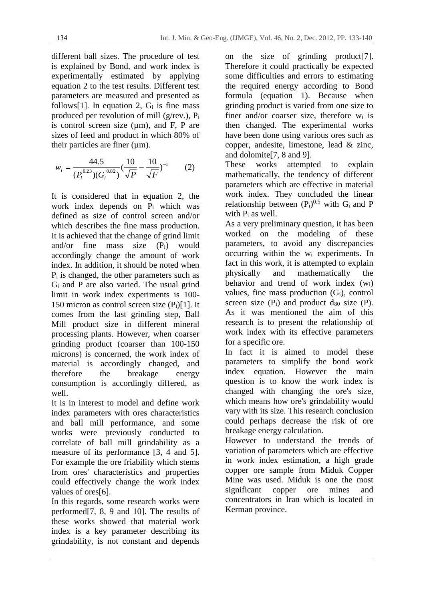different ball sizes. The procedure of test is explained by Bond, and work index is experimentally estimated by applying equation 2 to the test results. Different test parameters are measured and presented as follows[1]. In equation 2,  $G_i$  is fine mass produced per revolution of mill ( $g$ /rev.),  $P_i$ is control screen size  $(\mu m)$ , and F, P are sizes of feed and product in which 80% of their particles are finer  $(\mu m)$ .

$$
w_i = \frac{44.5}{(P_i^{0.23})(G_i^{0.82})} \left(\frac{10}{\sqrt{P}} - \frac{10}{\sqrt{F}}\right)^{-1}
$$
 (2)

It is considered that in equation 2, the work index depends on Pi which was defined as size of control screen and/or which describes the fine mass production. It is achieved that the change of grind limit and/or fine mass size  $(P_i)$  would accordingly change the amount of work index. In addition, it should be noted when  $P_i$  is changed, the other parameters such as Gi and P are also varied. The usual grind limit in work index experiments is 100- 150 micron as control screen size  $(P_i)[1]$ . It comes from the last grinding step, Ball Mill product size in different mineral processing plants. However, when coarser grinding product (coarser than 100-150 microns) is concerned, the work index of material is accordingly changed, and therefore the breakage energy consumption is accordingly differed, as well.

It is in interest to model and define work index parameters with ores characteristics and ball mill performance, and some works were previously conducted to correlate of ball mill grindability as a measure of its performance [3, 4 and 5]. For example the ore friability which stems from ores' characteristics and properties could effectively change the work index values of ores[6].

In this regards, some research works were performed[7, 8, 9 and 10]. The results of these works showed that material work index is a key parameter describing its grindability, is not constant and depends

on the size of grinding product[7]. Therefore it could practically be expected some difficulties and errors to estimating the required energy according to Bond formula (equation 1). Because when grinding product is varied from one size to finer and/or coarser size, therefore wi is then changed. The experimental works have been done using various ores such as copper, andesite, limestone, lead & zinc, and dolomite[7, 8 and 9].

These works attempted to explain mathematically, the tendency of different parameters which are effective in material work index. They concluded the linear relationship between  $(P_i)^{0.5}$  with  $G_i$  and P with Pi as well.

As a very preliminary question, it has been worked on the modeling of these parameters, to avoid any discrepancies occurring within the  $w_i$  experiments. In fact in this work, it is attempted to explain physically and mathematically the behavior and trend of work index  $(w_i)$ values, fine mass production  $(G_i)$ , control screen size  $(P_i)$  and product  $d_{80}$  size  $(P)$ . As it was mentioned the aim of this research is to present the relationship of work index with its effective parameters for a specific ore.

In fact it is aimed to model these parameters to simplify the bond work index equation. However the main question is to know the work index is changed with changing the ore's size, which means how ore's grindability would vary with its size. This research conclusion could perhaps decrease the risk of ore breakage energy calculation.

However to understand the trends of variation of parameters which are effective in work index estimation, a high grade copper ore sample from Miduk Copper Mine was used. Miduk is one the most significant copper ore mines and concentrators in Iran which is located in Kerman province.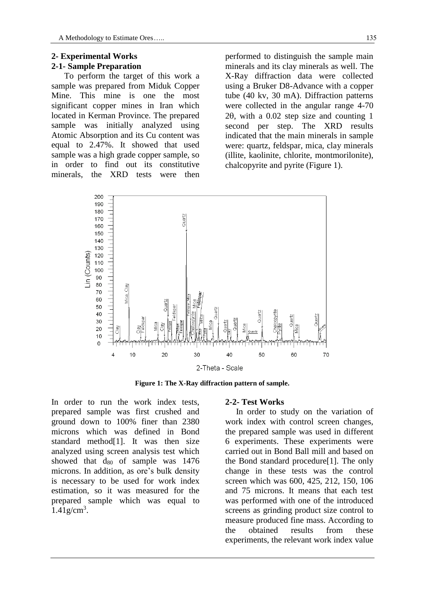## **2- Experimental Works 2-1- Sample Preparation**

 To perform the target of this work a sample was prepared from Miduk Copper Mine. This mine is one the most significant copper mines in Iran which located in Kerman Province. The prepared sample was initially analyzed using Atomic Absorption and its Cu content was equal to 2.47%. It showed that used sample was a high grade copper sample, so in order to find out its constitutive minerals, the XRD tests were then performed to distinguish the sample main minerals and its clay minerals as well. The X-Ray diffraction data were collected using a Bruker D8-Advance with a copper tube (40 kv, 30 mA). Diffraction patterns were collected in the angular range 4-70  $2\theta$ , with a 0.02 step size and counting 1 second per step. The XRD results indicated that the main minerals in sample were: quartz, feldspar, mica, clay minerals (illite, kaolinite, chlorite, montmorilonite), chalcopyrite and pyrite (Figure 1).



**Figure 1: The X-Ray diffraction pattern of sample.** 

In order to run the work index tests, prepared sample was first crushed and ground down to 100% finer than 2380 microns which was defined in Bond standard method[1]. It was then size analyzed using screen analysis test which showed that  $d_{80}$  of sample was 1476 microns. In addition, as ore's bulk density is necessary to be used for work index estimation, so it was measured for the prepared sample which was equal to  $1.41$  g/cm<sup>3</sup>.

#### **2-2- Test Works**

 In order to study on the variation of work index with control screen changes, the prepared sample was used in different 6 experiments. These experiments were carried out in Bond Ball mill and based on the Bond standard procedure[1]. The only change in these tests was the control screen which was 600, 425, 212, 150, 106 and 75 microns. It means that each test was performed with one of the introduced screens as grinding product size control to measure produced fine mass. According to the obtained results from these experiments, the relevant work index value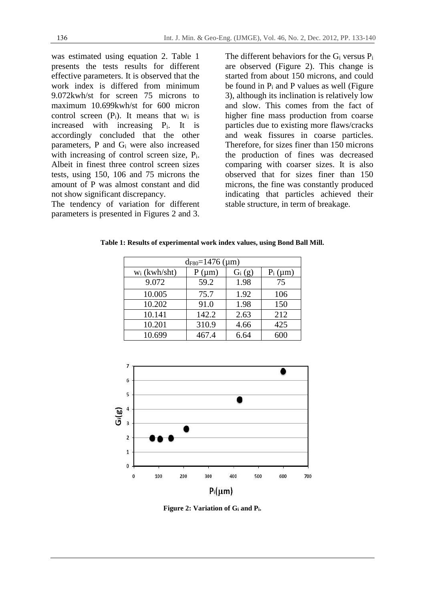was estimated using equation 2. Table 1 presents the tests results for different effective parameters. It is observed that the work index is differed from minimum 9.072kwh/st for screen 75 microns to maximum 10.699kwh/st for 600 micron control screen  $(P_i)$ . It means that  $w_i$  is increased with increasing Pi. It is accordingly concluded that the other parameters, P and Gi were also increased with increasing of control screen size, P<sub>i</sub>. Albeit in finest three control screen sizes tests, using 150, 106 and 75 microns the amount of P was almost constant and did not show significant discrepancy.

The tendency of variation for different parameters is presented in Figures 2 and 3.

The different behaviors for the Gi versus Pi are observed (Figure 2). This change is started from about 150 microns, and could be found in  $P_i$  and P values as well (Figure 3), although its inclination is relatively low and slow. This comes from the fact of higher fine mass production from coarse particles due to existing more flaws/cracks and weak fissures in coarse particles. Therefore, for sizes finer than 150 microns the production of fines was decreased comparing with coarser sizes. It is also observed that for sizes finer than 150 microns, the fine was constantly produced indicating that particles achieved their stable structure, in term of breakage.

| $d_{F80} = 1476 \; (\mu m)$ |            |          |            |  |  |
|-----------------------------|------------|----------|------------|--|--|
| $w_i$ (kwh/sht)             | $P(\mu m)$ | $G_i(g)$ | $P_i$ (µm) |  |  |
| 9.072                       | 59.2       | 1.98     |            |  |  |
|                             |            |          |            |  |  |

10.202 91.0 1.98 150 10.141 | 142.2 | 2.63 | 212 10.201 | 310.9 | 4.66 | 425 10.699 | 467.4 | 6.64 | 600

**Table 1: Results of experimental work index values, using Bond Ball Mill.** 



**Figure 2: Variation of Gi and Pi.**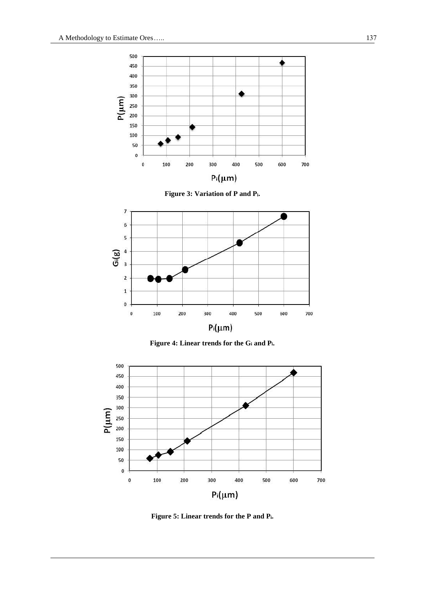

**Figure 3: Variation of P and Pi.** 



**Figure 4: Linear trends for the Gi and Pi.** 



**Figure 5: Linear trends for the P and Pi.**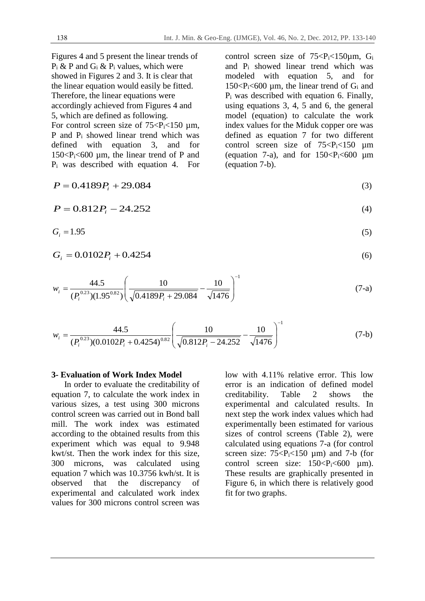Figures 4 and 5 present the linear trends of  $P_i$  & P and  $G_i$  &  $P_i$  values, which were showed in Figures 2 and 3. It is clear that the linear equation would easily be fitted. Therefore, the linear equations were accordingly achieved from Figures 4 and 5, which are defined as following.

For control screen size of  $75 < P<sub>i</sub> < 150 \mu m$ , P and Pi showed linear trend which was defined with equation 3, and for  $150 < P_i < 600 \mu m$ , the linear trend of P and Pi was described with equation 4. For control screen size of  $75 < P_i < 150 \mu m$ , G<sub>i</sub> and Pi showed linear trend which was modeled with equation 5, and for 150 $\langle P_i \rangle$  150 $\langle P_i \rangle$  1500 µm, the linear trend of G<sub>i</sub> and Pi was described with equation 6. Finally, using equations 3, 4, 5 and 6, the general model (equation) to calculate the work index values for the Miduk copper ore was defined as equation 7 for two different control screen size of  $75 < P<sub>i</sub> < 150 \mu m$ (equation 7-a), and for  $150 < P_i < 600 \mu m$ (equation 7-b).

$$
P = 0.4189P_i + 29.084\tag{3}
$$

$$
P = 0.812P_i - 24.252\tag{4}
$$

$$
G_i = 1.95 \tag{5}
$$

$$
G_i = 0.0102P_i + 0.4254\tag{6}
$$

$$
w_i = \frac{44.5}{(P_i^{0.23})(1.95^{0.82})} \left(\frac{10}{\sqrt{0.4189P_i + 29.084}} - \frac{10}{\sqrt{1476}}\right)^{-1}
$$
(7-a)

$$
w_i = \frac{44.5}{(P_i^{0.23})(0.0102P_i + 0.4254)^{0.82}} \left(\frac{10}{\sqrt{0.812P_i - 24.252}} - \frac{10}{\sqrt{1476}}\right)^{-1}
$$
(7-b)

#### **3- Evaluation of Work Index Model**

 In order to evaluate the creditability of equation 7, to calculate the work index in various sizes, a test using 300 microns control screen was carried out in Bond ball mill. The work index was estimated according to the obtained results from this experiment which was equal to 9.948 kwt/st. Then the work index for this size, 300 microns, was calculated using equation 7 which was 10.3756 kwh/st. It is observed that the discrepancy of experimental and calculated work index values for 300 microns control screen was

low with 4.11% relative error. This low error is an indication of defined model<br>creditability. Table 2 shows the creditability. Table 2 shows the experimental and calculated results. In next step the work index values which had experimentally been estimated for various sizes of control screens (Table 2), were calculated using equations 7-a (for control screen size:  $75 < P_i < 150 \mu m$ ) and 7-b (for control screen size:  $150 < P_i < 600 \mu$ m). These results are graphically presented in Figure 6, in which there is relatively good fit for two graphs.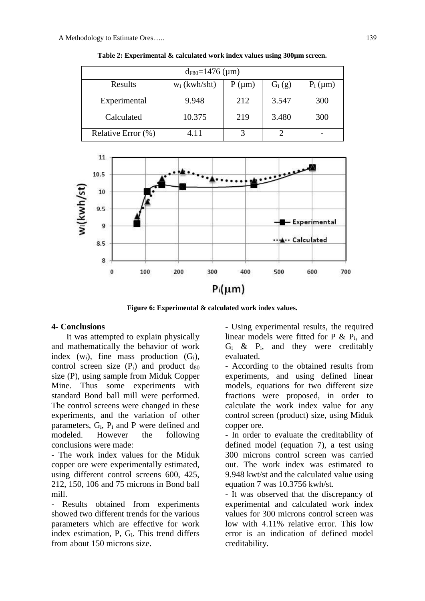| $d_{F80} = 1476 \; (\mu m)$ |                 |            |          |            |  |  |
|-----------------------------|-----------------|------------|----------|------------|--|--|
| Results                     | $w_i$ (kwh/sht) | $P(\mu m)$ | $G_i(g)$ | $P_i$ (µm) |  |  |
| Experimental                | 9.948           | 212        | 3.547    | 300        |  |  |
| Calculated                  | 10.375          | 219        | 3.480    | 300        |  |  |
| Relative Error (%)          | 4.11            |            |          |            |  |  |

**Table 2: Experimental & calculated work index values using 300µm screen.** 



**Figure 6: Experimental & calculated work index values.** 

#### **4- Conclusions**

 It was attempted to explain physically and mathematically the behavior of work index  $(w_i)$ , fine mass production  $(G_i)$ , control screen size  $(P_i)$  and product  $d_{80}$ size (P), using sample from Miduk Copper Mine. Thus some experiments with standard Bond ball mill were performed. The control screens were changed in these experiments, and the variation of other parameters, Gi, Pi and P were defined and modeled. However the following conclusions were made:

- The work index values for the Miduk copper ore were experimentally estimated, using different control screens 600, 425, 212, 150, 106 and 75 microns in Bond ball mill.

Results obtained from experiments showed two different trends for the various parameters which are effective for work index estimation, P, Gi. This trend differs from about 150 microns size.

- Using experimental results, the required linear models were fitted for  $P \& P_i$ , and  $G_i$  &  $P_i$ , and they were creditably evaluated.

- According to the obtained results from experiments, and using defined linear models, equations for two different size fractions were proposed, in order to calculate the work index value for any control screen (product) size, using Miduk copper ore.

- In order to evaluate the creditability of defined model (equation 7), a test using 300 microns control screen was carried out. The work index was estimated to 9.948 kwt/st and the calculated value using equation 7 was 10.3756 kwh/st.

- It was observed that the discrepancy of experimental and calculated work index values for 300 microns control screen was low with 4.11% relative error. This low error is an indication of defined model creditability.